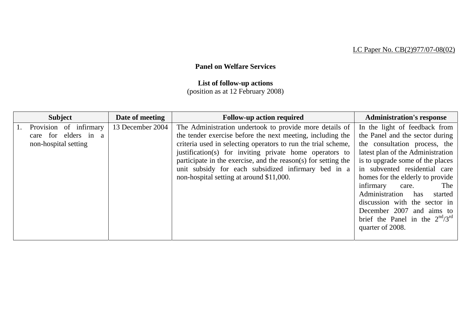## **Panel on Welfare Services**

## **List of follow-up actions**

(position as at 12 February 2008)

| <b>Subject</b>         | Date of meeting  | <b>Follow-up action required</b>                               | <b>Administration's response</b>       |
|------------------------|------------------|----------------------------------------------------------------|----------------------------------------|
| Provision of infirmary | 13 December 2004 | The Administration undertook to provide more details of        | In the light of feedback from          |
| care for elders in a   |                  | the tender exercise before the next meeting, including the     | the Panel and the sector during        |
| non-hospital setting   |                  | criteria used in selecting operators to run the trial scheme,  | the consultation process, the          |
|                        |                  | justification(s) for inviting private home operators to        | latest plan of the Administration      |
|                        |                  | participate in the exercise, and the reason(s) for setting the | is to upgrade some of the places       |
|                        |                  | unit subsidy for each subsidized infirmary bed in a            | in subvented residential care          |
|                        |                  | non-hospital setting at around \$11,000.                       | homes for the elderly to provide       |
|                        |                  |                                                                | infirmary<br>The<br>care.              |
|                        |                  |                                                                | Administration has<br>started          |
|                        |                  |                                                                | discussion with the sector in          |
|                        |                  |                                                                | December 2007 and aims to              |
|                        |                  |                                                                | brief the Panel in the $2^{nd}/3^{rd}$ |
|                        |                  |                                                                | quarter of 2008.                       |
|                        |                  |                                                                |                                        |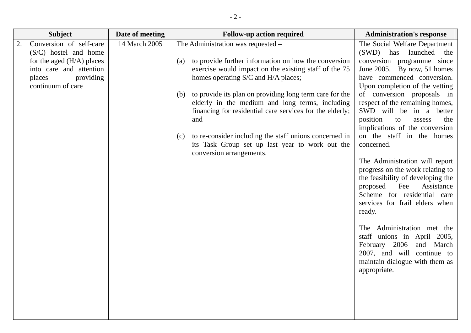| <b>Subject</b>                                                                                                                                               | Date of meeting | <b>Follow-up action required</b>                                                                                                                                                                                                                                                                                                                                                                                                                                                                                                          | <b>Administration's response</b>                                                                                                                                                                                                                                                                                                                                                                                                                                                                                                                                                                                                                                                                                                                                                                      |
|--------------------------------------------------------------------------------------------------------------------------------------------------------------|-----------------|-------------------------------------------------------------------------------------------------------------------------------------------------------------------------------------------------------------------------------------------------------------------------------------------------------------------------------------------------------------------------------------------------------------------------------------------------------------------------------------------------------------------------------------------|-------------------------------------------------------------------------------------------------------------------------------------------------------------------------------------------------------------------------------------------------------------------------------------------------------------------------------------------------------------------------------------------------------------------------------------------------------------------------------------------------------------------------------------------------------------------------------------------------------------------------------------------------------------------------------------------------------------------------------------------------------------------------------------------------------|
| Conversion of self-care<br>2.<br>(S/C) hostel and home<br>for the aged $(H/A)$ places<br>into care and attention<br>providing<br>places<br>continuum of care | 14 March 2005   | The Administration was requested -<br>to provide further information on how the conversion<br>(a)<br>exercise would impact on the existing staff of the 75<br>homes operating S/C and H/A places;<br>to provide its plan on providing long term care for the<br>(b)<br>elderly in the medium and long terms, including<br>financing for residential care services for the elderly;<br>and<br>to re-consider including the staff unions concerned in<br>(c)<br>its Task Group set up last year to work out the<br>conversion arrangements. | The Social Welfare Department<br>(SWD) has launched<br>the<br>conversion programme since<br>June 2005. By now, 51 homes<br>have commenced conversion.<br>Upon completion of the vetting<br>of conversion proposals in<br>respect of the remaining homes,<br>SWD will be in a better<br>position<br>the<br>to<br>assess<br>implications of the conversion<br>on the staff in the homes<br>concerned.<br>The Administration will report<br>progress on the work relating to<br>the feasibility of developing the<br>Assistance<br>proposed<br>Fee<br>Scheme for residential care<br>services for frail elders when<br>ready.<br>The Administration met the<br>staff unions in April 2005,<br>February 2006<br>and March<br>2007, and will continue to<br>maintain dialogue with them as<br>appropriate. |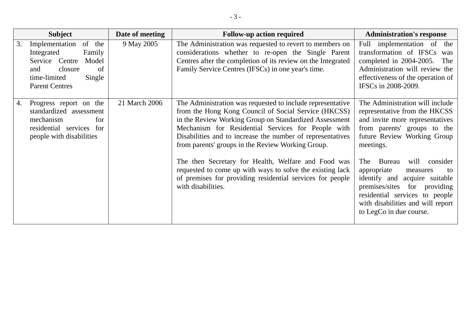|    | <b>Subject</b>                                                                                                                                         | Date of meeting | <b>Follow-up action required</b>                                                                                                                                                                                                                                                                                                                      | <b>Administration's response</b>                                                                                                                                                                                                                |
|----|--------------------------------------------------------------------------------------------------------------------------------------------------------|-----------------|-------------------------------------------------------------------------------------------------------------------------------------------------------------------------------------------------------------------------------------------------------------------------------------------------------------------------------------------------------|-------------------------------------------------------------------------------------------------------------------------------------------------------------------------------------------------------------------------------------------------|
| 3. | of the<br>Implementation<br>Integrated<br>Family<br>Service Centre<br>Model<br>closure<br>of<br>and<br>time-limited<br>Single<br><b>Parent Centres</b> | 9 May 2005      | The Administration was requested to revert to members on<br>considerations whether to re-open the Single Parent<br>Centres after the completion of its review on the Integrated<br>Family Service Centres (IFSCs) in one year's time.                                                                                                                 | Full implementation of the<br>transformation of IFSCs<br>was<br>completed in 2004-2005.<br>The<br>Administration will review the<br>effectiveness of the operation of<br>IFSCs in 2008-2009.                                                    |
| 4. | Progress report on the<br>standardized assessment<br>mechanism<br>for<br>residential services for<br>people with disabilities                          | 21 March 2006   | The Administration was requested to include representative<br>from the Hong Kong Council of Social Service (HKCSS)<br>in the Review Working Group on Standardized Assessment<br>Mechanism for Residential Services for People with<br>Disabilities and to increase the number of representatives<br>from parents' groups in the Review Working Group. | The Administration will include<br>representative from the HKCSS<br>and invite more representatives<br>from parents' groups to the<br>future Review Working Group<br>meetings.                                                                  |
|    |                                                                                                                                                        |                 | The then Secretary for Health, Welfare and Food was<br>requested to come up with ways to solve the existing lack<br>of premises for providing residential services for people<br>with disabilities.                                                                                                                                                   | <b>Bureau</b><br>will<br>consider<br>The<br>appropriate<br>to<br>measures<br>identify and<br>acquire suitable<br>premises/sites for providing<br>residential services to people<br>with disabilities and will report<br>to LegCo in due course. |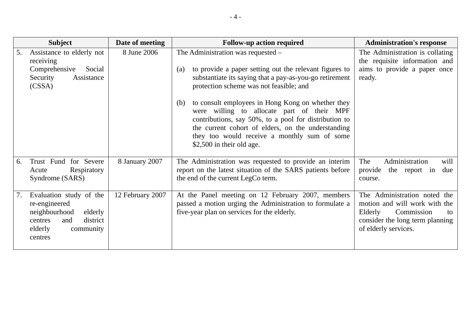|    | <b>Subject</b>                                                                                                                        | Date of meeting  | <b>Follow-up action required</b>                                                                                                                                                                                                       | <b>Administration's response</b>                                                                                                                        |
|----|---------------------------------------------------------------------------------------------------------------------------------------|------------------|----------------------------------------------------------------------------------------------------------------------------------------------------------------------------------------------------------------------------------------|---------------------------------------------------------------------------------------------------------------------------------------------------------|
| 5. | Assistance to elderly not<br>receiving                                                                                                | 8 June 2006      | The Administration was requested –                                                                                                                                                                                                     | The Administration is collating<br>the requisite information and                                                                                        |
|    | Comprehensive<br>Social<br>Assistance<br>Security<br>(CSSA)                                                                           |                  | to provide a paper setting out the relevant figures to<br>(a)<br>substantiate its saying that a pay-as-you-go retirement<br>protection scheme was not feasible; and<br>to consult employees in Hong Kong on whether they<br>(b)        | aims to provide a paper once<br>ready.                                                                                                                  |
|    |                                                                                                                                       |                  | were willing to allocate part of their MPF<br>contributions, say 50%, to a pool for distribution to<br>the current cohort of elders, on the understanding<br>they too would receive a monthly sum of some<br>\$2,500 in their old age. |                                                                                                                                                         |
| 6. | Trust Fund for Severe<br>Respiratory<br>Acute<br>Syndrome (SARS)                                                                      | 8 January 2007   | The Administration was requested to provide an interim<br>report on the latest situation of the SARS patients before<br>the end of the current LegCo term.                                                                             | Administration<br>The<br>will<br>provide<br>the report in<br>due<br>course.                                                                             |
| 7. | Evaluation study of the<br>re-engineered<br>neighbourhood<br>elderly<br>district<br>centres<br>and<br>elderly<br>community<br>centres | 12 February 2007 | At the Panel meeting on 12 February 2007, members<br>passed a motion urging the Administration to formulate a<br>five-year plan on services for the elderly.                                                                           | The Administration noted the<br>motion and will work with the<br>Elderly<br>Commission<br>to<br>consider the long term planning<br>of elderly services. |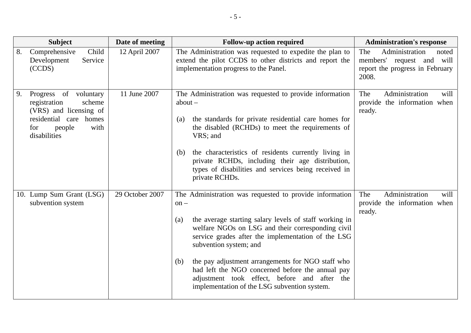| <b>Subject</b>                                                                                                                                     | Date of meeting | <b>Follow-up action required</b>                                                                                                                                                                                                                                                                                                                                                                                                                                                        | <b>Administration's response</b>                                                                        |
|----------------------------------------------------------------------------------------------------------------------------------------------------|-----------------|-----------------------------------------------------------------------------------------------------------------------------------------------------------------------------------------------------------------------------------------------------------------------------------------------------------------------------------------------------------------------------------------------------------------------------------------------------------------------------------------|---------------------------------------------------------------------------------------------------------|
| Comprehensive<br>Child<br>8.<br>Service<br>Development<br>(CCDS)                                                                                   | 12 April 2007   | The Administration was requested to expedite the plan to<br>extend the pilot CCDS to other districts and report the<br>implementation progress to the Panel.                                                                                                                                                                                                                                                                                                                            | The<br>Administration<br>noted<br>members' request and will<br>report the progress in February<br>2008. |
| 9.<br>Progress of voluntary<br>registration<br>scheme<br>(VRS) and licensing of<br>residential care homes<br>people<br>with<br>for<br>disabilities | 11 June 2007    | The Administration was requested to provide information<br>$about -$<br>the standards for private residential care homes for<br>(a)<br>the disabled (RCHDs) to meet the requirements of<br>VRS; and<br>the characteristics of residents currently living in<br>(b)<br>private RCHDs, including their age distribution,<br>types of disabilities and services being received in<br>private RCHDs.                                                                                        | The<br>Administration<br>will<br>provide the information when<br>ready.                                 |
| 10. Lump Sum Grant (LSG)<br>subvention system                                                                                                      | 29 October 2007 | The Administration was requested to provide information<br>$on -$<br>the average starting salary levels of staff working in<br>(a)<br>welfare NGOs on LSG and their corresponding civil<br>service grades after the implementation of the LSG<br>subvention system; and<br>the pay adjustment arrangements for NGO staff who<br>(b)<br>had left the NGO concerned before the annual pay<br>adjustment took effect, before and after the<br>implementation of the LSG subvention system. | Administration<br>The<br>will<br>provide the information when<br>ready.                                 |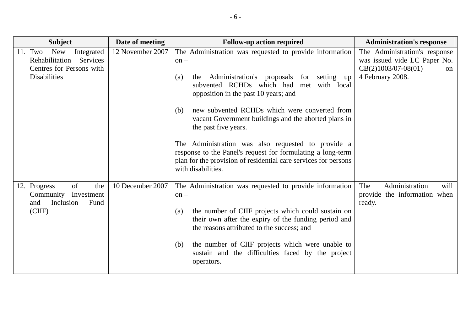| <b>Subject</b>                                                                                                       | Date of meeting  | <b>Follow-up action required</b>                                                                                                                                                                                                                                                                                                                                                                                                                                                                                                                                             | <b>Administration's response</b>                                                                                            |
|----------------------------------------------------------------------------------------------------------------------|------------------|------------------------------------------------------------------------------------------------------------------------------------------------------------------------------------------------------------------------------------------------------------------------------------------------------------------------------------------------------------------------------------------------------------------------------------------------------------------------------------------------------------------------------------------------------------------------------|-----------------------------------------------------------------------------------------------------------------------------|
| 11. Two<br><b>New</b><br>Integrated<br>Rehabilitation<br>Services<br>Centres for Persons with<br><b>Disabilities</b> | 12 November 2007 | The Administration was requested to provide information<br>$on -$<br>Administration's proposals for setting<br>(a)<br>the<br>up<br>subvented RCHDs which had<br>met with local<br>opposition in the past 10 years; and<br>new subvented RCHDs which were converted from<br>(b)<br>vacant Government buildings and the aborted plans in<br>the past five years.<br>The Administration was also requested to provide a<br>response to the Panel's request for formulating a long-term<br>plan for the provision of residential care services for persons<br>with disabilities. | The Administration's response<br>was issued vide LC Paper No.<br>$CB(2)1003/07-08(01)$<br><sub>on</sub><br>4 February 2008. |
| of<br>12. Progress<br>the<br>Community<br>Investment<br>Inclusion<br>Fund<br>and<br>(ClIF)                           | 10 December 2007 | The Administration was requested to provide information<br>$on -$<br>the number of CIIF projects which could sustain on<br>(a)<br>their own after the expiry of the funding period and<br>the reasons attributed to the success; and<br>the number of CIIF projects which were unable to<br>(b)<br>sustain and the difficulties faced by the project<br>operators.                                                                                                                                                                                                           | Administration<br>The<br>will<br>provide the information when<br>ready.                                                     |